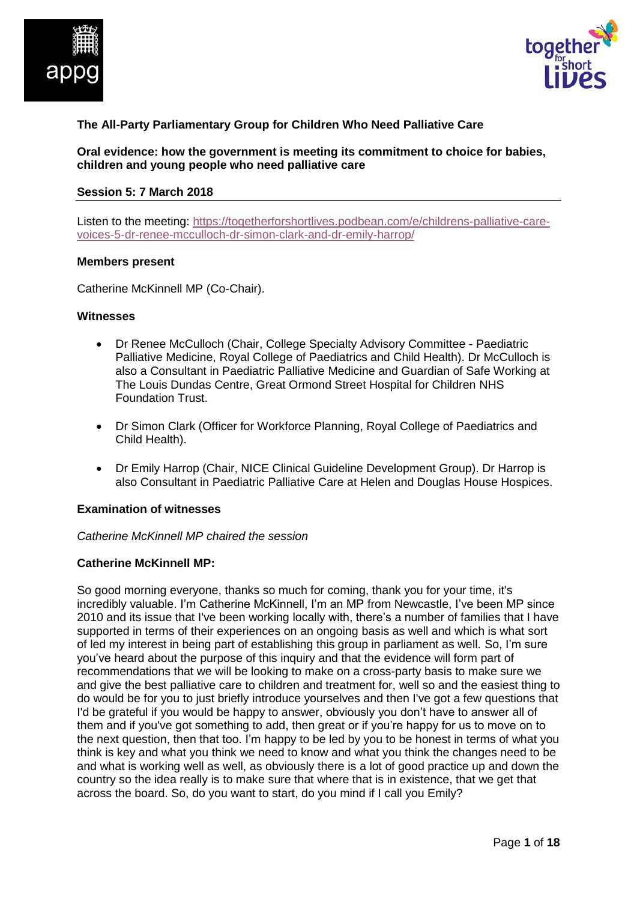



# **The All-Party Parliamentary Group for Children Who Need Palliative Care**

**Oral evidence: how the government is meeting its commitment to choice for babies, children and young people who need palliative care**

#### **Session 5: 7 March 2018**

Listen to the meeting: [https://togetherforshortlives.podbean.com/e/childrens-palliative-care](https://togetherforshortlives.podbean.com/e/childrens-palliative-care-voices-5-dr-renee-mcculloch-dr-simon-clark-and-dr-emily-harrop/)[voices-5-dr-renee-mcculloch-dr-simon-clark-and-dr-emily-harrop/](https://togetherforshortlives.podbean.com/e/childrens-palliative-care-voices-5-dr-renee-mcculloch-dr-simon-clark-and-dr-emily-harrop/)

#### **Members present**

Catherine McKinnell MP (Co-Chair).

#### **Witnesses**

- Dr Renee McCulloch (Chair, College Specialty Advisory Committee Paediatric Palliative Medicine, Royal College of Paediatrics and Child Health). Dr McCulloch is also a Consultant in Paediatric Palliative Medicine and Guardian of Safe Working at The Louis Dundas Centre, Great Ormond Street Hospital for Children NHS Foundation Trust.
- Dr Simon Clark (Officer for Workforce Planning, Royal College of Paediatrics and Child Health).
- Dr Emily Harrop (Chair, NICE Clinical Guideline Development Group). Dr Harrop is also Consultant in Paediatric Palliative Care at Helen and Douglas House Hospices.

#### **Examination of witnesses**

*Catherine McKinnell MP chaired the session*

#### **Catherine McKinnell MP:**

So good morning everyone, thanks so much for coming, thank you for your time, it's incredibly valuable. I'm Catherine McKinnell, I'm an MP from Newcastle, I've been MP since 2010 and its issue that I've been working locally with, there's a number of families that I have supported in terms of their experiences on an ongoing basis as well and which is what sort of led my interest in being part of establishing this group in parliament as well. So, I'm sure you've heard about the purpose of this inquiry and that the evidence will form part of recommendations that we will be looking to make on a cross-party basis to make sure we and give the best palliative care to children and treatment for, well so and the easiest thing to do would be for you to just briefly introduce yourselves and then I've got a few questions that I'd be grateful if you would be happy to answer, obviously you don't have to answer all of them and if you've got something to add, then great or if you're happy for us to move on to the next question, then that too. I'm happy to be led by you to be honest in terms of what you think is key and what you think we need to know and what you think the changes need to be and what is working well as well, as obviously there is a lot of good practice up and down the country so the idea really is to make sure that where that is in existence, that we get that across the board. So, do you want to start, do you mind if I call you Emily?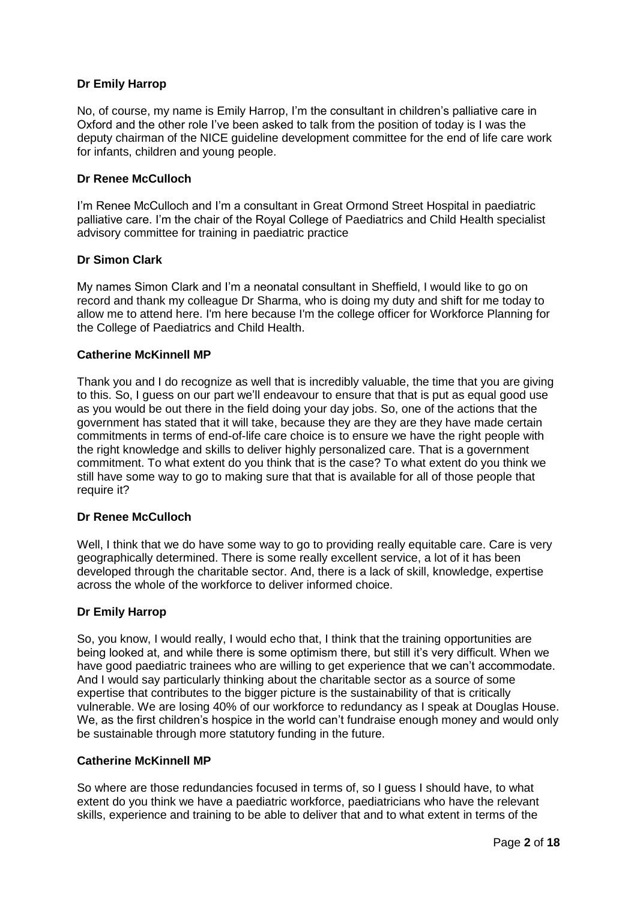# **Dr Emily Harrop**

No, of course, my name is Emily Harrop, I'm the consultant in children's palliative care in Oxford and the other role I've been asked to talk from the position of today is I was the deputy chairman of the NICE guideline development committee for the end of life care work for infants, children and young people.

# **Dr Renee McCulloch**

I'm Renee McCulloch and I'm a consultant in Great Ormond Street Hospital in paediatric palliative care. I'm the chair of the Royal College of Paediatrics and Child Health specialist advisory committee for training in paediatric practice

# **Dr Simon Clark**

My names Simon Clark and I'm a neonatal consultant in Sheffield, I would like to go on record and thank my colleague Dr Sharma, who is doing my duty and shift for me today to allow me to attend here. I'm here because I'm the college officer for Workforce Planning for the College of Paediatrics and Child Health.

# **Catherine McKinnell MP**

Thank you and I do recognize as well that is incredibly valuable, the time that you are giving to this. So, I guess on our part we'll endeavour to ensure that that is put as equal good use as you would be out there in the field doing your day jobs. So, one of the actions that the government has stated that it will take, because they are they are they have made certain commitments in terms of end-of-life care choice is to ensure we have the right people with the right knowledge and skills to deliver highly personalized care. That is a government commitment. To what extent do you think that is the case? To what extent do you think we still have some way to go to making sure that that is available for all of those people that require it?

# **Dr Renee McCulloch**

Well, I think that we do have some way to go to providing really equitable care. Care is very geographically determined. There is some really excellent service, a lot of it has been developed through the charitable sector. And, there is a lack of skill, knowledge, expertise across the whole of the workforce to deliver informed choice.

# **Dr Emily Harrop**

So, you know, I would really, I would echo that, I think that the training opportunities are being looked at, and while there is some optimism there, but still it's very difficult. When we have good paediatric trainees who are willing to get experience that we can't accommodate. And I would say particularly thinking about the charitable sector as a source of some expertise that contributes to the bigger picture is the sustainability of that is critically vulnerable. We are losing 40% of our workforce to redundancy as I speak at Douglas House. We, as the first children's hospice in the world can't fundraise enough money and would only be sustainable through more statutory funding in the future.

# **Catherine McKinnell MP**

So where are those redundancies focused in terms of, so I guess I should have, to what extent do you think we have a paediatric workforce, paediatricians who have the relevant skills, experience and training to be able to deliver that and to what extent in terms of the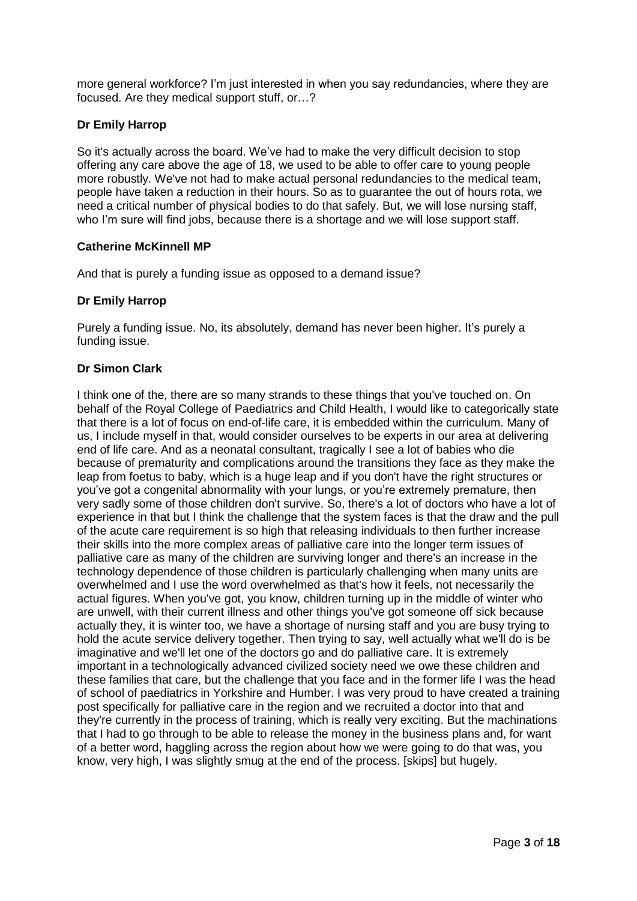more general workforce? I'm just interested in when you say redundancies, where they are focused. Are they medical support stuff, or…?

# **Dr Emily Harrop**

So it's actually across the board. We've had to make the very difficult decision to stop offering any care above the age of 18, we used to be able to offer care to young people more robustly. We've not had to make actual personal redundancies to the medical team, people have taken a reduction in their hours. So as to guarantee the out of hours rota, we need a critical number of physical bodies to do that safely. But, we will lose nursing staff, who I'm sure will find jobs, because there is a shortage and we will lose support staff.

# **Catherine McKinnell MP**

And that is purely a funding issue as opposed to a demand issue?

# **Dr Emily Harrop**

Purely a funding issue. No, its absolutely, demand has never been higher. It's purely a funding issue.

# **Dr Simon Clark**

I think one of the, there are so many strands to these things that you've touched on. On behalf of the Royal College of Paediatrics and Child Health, I would like to categorically state that there is a lot of focus on end-of-life care, it is embedded within the curriculum. Many of us, I include myself in that, would consider ourselves to be experts in our area at delivering end of life care. And as a neonatal consultant, tragically I see a lot of babies who die because of prematurity and complications around the transitions they face as they make the leap from foetus to baby, which is a huge leap and if you don't have the right structures or you've got a congenital abnormality with your lungs, or you're extremely premature, then very sadly some of those children don't survive. So, there's a lot of doctors who have a lot of experience in that but I think the challenge that the system faces is that the draw and the pull of the acute care requirement is so high that releasing individuals to then further increase their skills into the more complex areas of palliative care into the longer term issues of palliative care as many of the children are surviving longer and there's an increase in the technology dependence of those children is particularly challenging when many units are overwhelmed and I use the word overwhelmed as that's how it feels, not necessarily the actual figures. When you've got, you know, children turning up in the middle of winter who are unwell, with their current illness and other things you've got someone off sick because actually they, it is winter too, we have a shortage of nursing staff and you are busy trying to hold the acute service delivery together. Then trying to say, well actually what we'll do is be imaginative and we'll let one of the doctors go and do palliative care. It is extremely important in a technologically advanced civilized society need we owe these children and these families that care, but the challenge that you face and in the former life I was the head of school of paediatrics in Yorkshire and Humber. I was very proud to have created a training post specifically for palliative care in the region and we recruited a doctor into that and they're currently in the process of training, which is really very exciting. But the machinations that I had to go through to be able to release the money in the business plans and, for want of a better word, haggling across the region about how we were going to do that was, you know, very high, I was slightly smug at the end of the process. [skips] but hugely.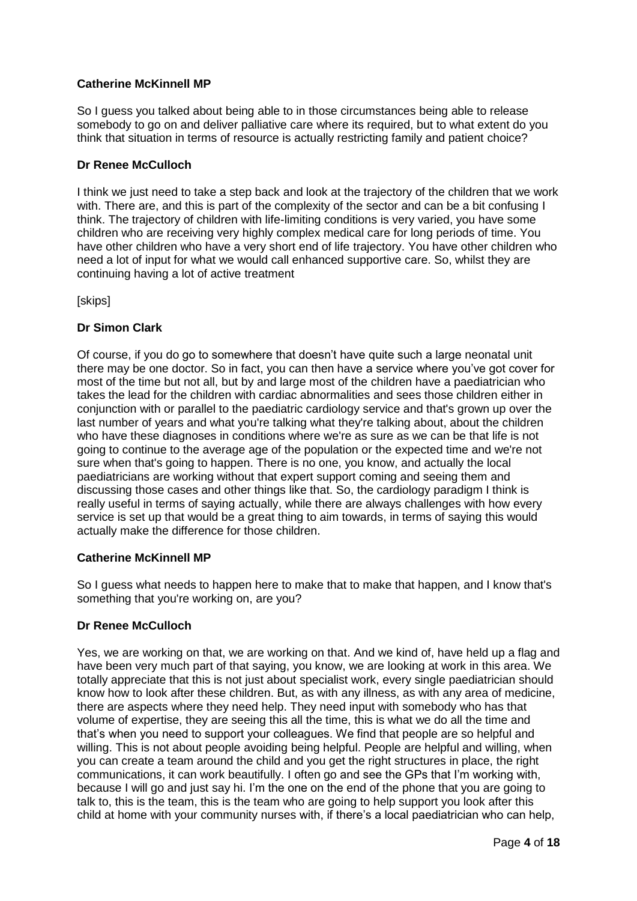# **Catherine McKinnell MP**

So I guess you talked about being able to in those circumstances being able to release somebody to go on and deliver palliative care where its required, but to what extent do you think that situation in terms of resource is actually restricting family and patient choice?

# **Dr Renee McCulloch**

I think we just need to take a step back and look at the trajectory of the children that we work with. There are, and this is part of the complexity of the sector and can be a bit confusing I think. The trajectory of children with life-limiting conditions is very varied, you have some children who are receiving very highly complex medical care for long periods of time. You have other children who have a very short end of life trajectory. You have other children who need a lot of input for what we would call enhanced supportive care. So, whilst they are continuing having a lot of active treatment

[skips]

# **Dr Simon Clark**

Of course, if you do go to somewhere that doesn't have quite such a large neonatal unit there may be one doctor. So in fact, you can then have a service where you've got cover for most of the time but not all, but by and large most of the children have a paediatrician who takes the lead for the children with cardiac abnormalities and sees those children either in conjunction with or parallel to the paediatric cardiology service and that's grown up over the last number of years and what you're talking what they're talking about, about the children who have these diagnoses in conditions where we're as sure as we can be that life is not going to continue to the average age of the population or the expected time and we're not sure when that's going to happen. There is no one, you know, and actually the local paediatricians are working without that expert support coming and seeing them and discussing those cases and other things like that. So, the cardiology paradigm I think is really useful in terms of saying actually, while there are always challenges with how every service is set up that would be a great thing to aim towards, in terms of saying this would actually make the difference for those children.

# **Catherine McKinnell MP**

So I guess what needs to happen here to make that to make that happen, and I know that's something that you're working on, are you?

# **Dr Renee McCulloch**

Yes, we are working on that, we are working on that. And we kind of, have held up a flag and have been very much part of that saying, you know, we are looking at work in this area. We totally appreciate that this is not just about specialist work, every single paediatrician should know how to look after these children. But, as with any illness, as with any area of medicine, there are aspects where they need help. They need input with somebody who has that volume of expertise, they are seeing this all the time, this is what we do all the time and that's when you need to support your colleagues. We find that people are so helpful and willing. This is not about people avoiding being helpful. People are helpful and willing, when you can create a team around the child and you get the right structures in place, the right communications, it can work beautifully. I often go and see the GPs that I'm working with, because I will go and just say hi. I'm the one on the end of the phone that you are going to talk to, this is the team, this is the team who are going to help support you look after this child at home with your community nurses with, if there's a local paediatrician who can help,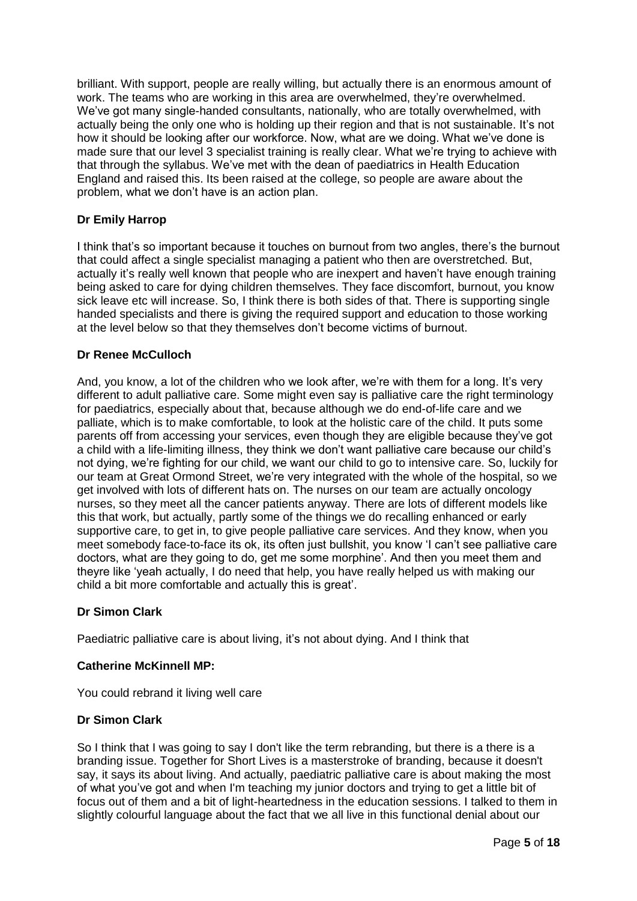brilliant. With support, people are really willing, but actually there is an enormous amount of work. The teams who are working in this area are overwhelmed, they're overwhelmed. We've got many single-handed consultants, nationally, who are totally overwhelmed, with actually being the only one who is holding up their region and that is not sustainable. It's not how it should be looking after our workforce. Now, what are we doing. What we've done is made sure that our level 3 specialist training is really clear. What we're trying to achieve with that through the syllabus. We've met with the dean of paediatrics in Health Education England and raised this. Its been raised at the college, so people are aware about the problem, what we don't have is an action plan.

# **Dr Emily Harrop**

I think that's so important because it touches on burnout from two angles, there's the burnout that could affect a single specialist managing a patient who then are overstretched. But, actually it's really well known that people who are inexpert and haven't have enough training being asked to care for dying children themselves. They face discomfort, burnout, you know sick leave etc will increase. So, I think there is both sides of that. There is supporting single handed specialists and there is giving the required support and education to those working at the level below so that they themselves don't become victims of burnout.

# **Dr Renee McCulloch**

And, you know, a lot of the children who we look after, we're with them for a long. It's very different to adult palliative care. Some might even say is palliative care the right terminology for paediatrics, especially about that, because although we do end-of-life care and we palliate, which is to make comfortable, to look at the holistic care of the child. It puts some parents off from accessing your services, even though they are eligible because they've got a child with a life-limiting illness, they think we don't want palliative care because our child's not dying, we're fighting for our child, we want our child to go to intensive care. So, luckily for our team at Great Ormond Street, we're very integrated with the whole of the hospital, so we get involved with lots of different hats on. The nurses on our team are actually oncology nurses, so they meet all the cancer patients anyway. There are lots of different models like this that work, but actually, partly some of the things we do recalling enhanced or early supportive care, to get in, to give people palliative care services. And they know, when you meet somebody face-to-face its ok, its often just bullshit, you know 'I can't see palliative care doctors, what are they going to do, get me some morphine'. And then you meet them and theyre like 'yeah actually, I do need that help, you have really helped us with making our child a bit more comfortable and actually this is great'.

# **Dr Simon Clark**

Paediatric palliative care is about living, it's not about dying. And I think that

# **Catherine McKinnell MP:**

You could rebrand it living well care

# **Dr Simon Clark**

So I think that I was going to say I don't like the term rebranding, but there is a there is a branding issue. Together for Short Lives is a masterstroke of branding, because it doesn't say, it says its about living. And actually, paediatric palliative care is about making the most of what you've got and when I'm teaching my junior doctors and trying to get a little bit of focus out of them and a bit of light-heartedness in the education sessions. I talked to them in slightly colourful language about the fact that we all live in this functional denial about our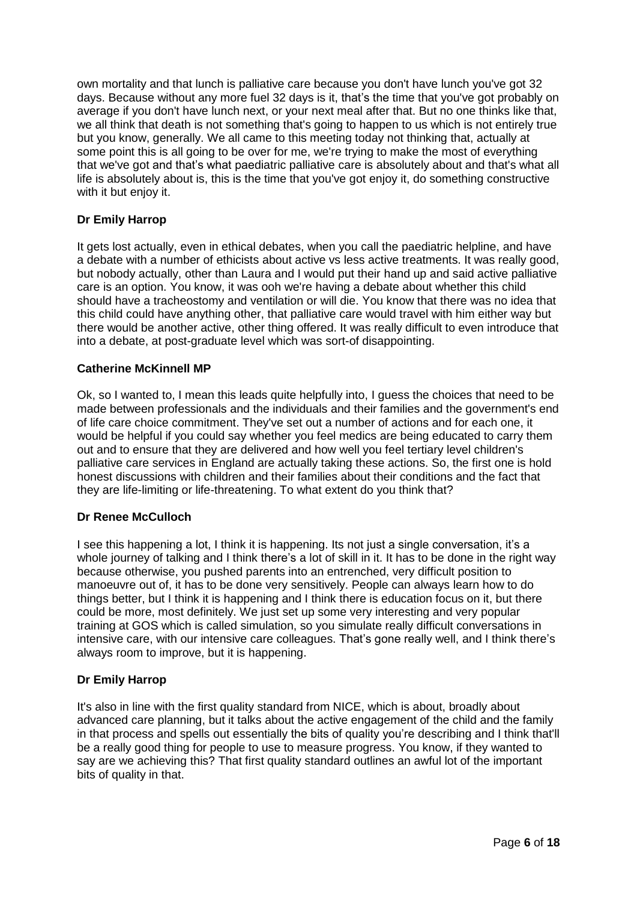own mortality and that lunch is palliative care because you don't have lunch you've got 32 days. Because without any more fuel 32 days is it, that's the time that you've got probably on average if you don't have lunch next, or your next meal after that. But no one thinks like that, we all think that death is not something that's going to happen to us which is not entirely true but you know, generally. We all came to this meeting today not thinking that, actually at some point this is all going to be over for me, we're trying to make the most of everything that we've got and that's what paediatric palliative care is absolutely about and that's what all life is absolutely about is, this is the time that you've got enjoy it, do something constructive with it but enjoy it.

# **Dr Emily Harrop**

It gets lost actually, even in ethical debates, when you call the paediatric helpline, and have a debate with a number of ethicists about active vs less active treatments. It was really good, but nobody actually, other than Laura and I would put their hand up and said active palliative care is an option. You know, it was ooh we're having a debate about whether this child should have a tracheostomy and ventilation or will die. You know that there was no idea that this child could have anything other, that palliative care would travel with him either way but there would be another active, other thing offered. It was really difficult to even introduce that into a debate, at post-graduate level which was sort-of disappointing.

### **Catherine McKinnell MP**

Ok, so I wanted to, I mean this leads quite helpfully into, I guess the choices that need to be made between professionals and the individuals and their families and the government's end of life care choice commitment. They've set out a number of actions and for each one, it would be helpful if you could say whether you feel medics are being educated to carry them out and to ensure that they are delivered and how well you feel tertiary level children's palliative care services in England are actually taking these actions. So, the first one is hold honest discussions with children and their families about their conditions and the fact that they are life-limiting or life-threatening. To what extent do you think that?

# **Dr Renee McCulloch**

I see this happening a lot, I think it is happening. Its not just a single conversation, it's a whole journey of talking and I think there's a lot of skill in it. It has to be done in the right way because otherwise, you pushed parents into an entrenched, very difficult position to manoeuvre out of, it has to be done very sensitively. People can always learn how to do things better, but I think it is happening and I think there is education focus on it, but there could be more, most definitely. We just set up some very interesting and very popular training at GOS which is called simulation, so you simulate really difficult conversations in intensive care, with our intensive care colleagues. That's gone really well, and I think there's always room to improve, but it is happening.

# **Dr Emily Harrop**

It's also in line with the first quality standard from NICE, which is about, broadly about advanced care planning, but it talks about the active engagement of the child and the family in that process and spells out essentially the bits of quality you're describing and I think that'll be a really good thing for people to use to measure progress. You know, if they wanted to say are we achieving this? That first quality standard outlines an awful lot of the important bits of quality in that.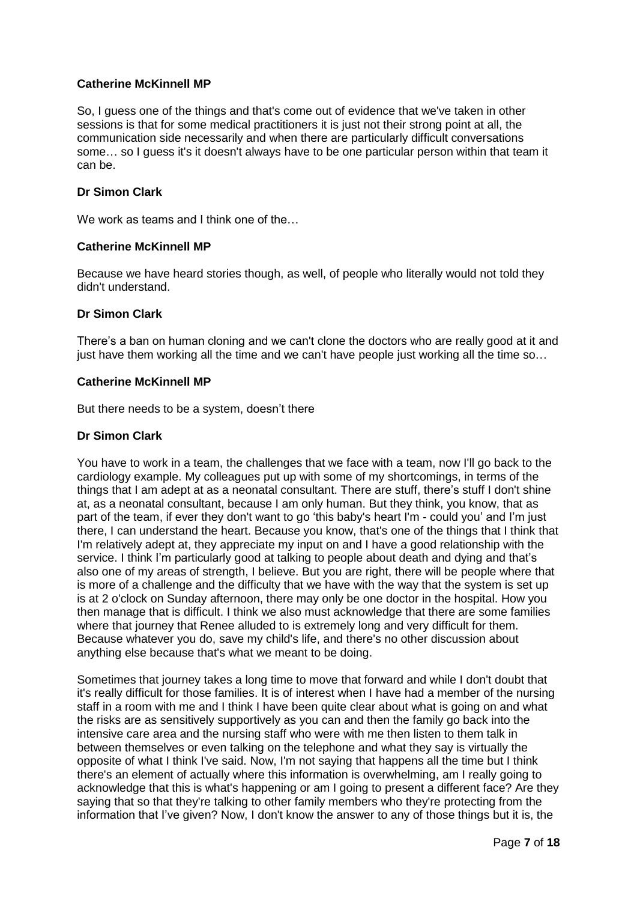### **Catherine McKinnell MP**

So, I guess one of the things and that's come out of evidence that we've taken in other sessions is that for some medical practitioners it is just not their strong point at all, the communication side necessarily and when there are particularly difficult conversations some… so I guess it's it doesn't always have to be one particular person within that team it can be.

### **Dr Simon Clark**

We work as teams and I think one of the...

### **Catherine McKinnell MP**

Because we have heard stories though, as well, of people who literally would not told they didn't understand.

### **Dr Simon Clark**

There's a ban on human cloning and we can't clone the doctors who are really good at it and just have them working all the time and we can't have people just working all the time so…

### **Catherine McKinnell MP**

But there needs to be a system, doesn't there

### **Dr Simon Clark**

You have to work in a team, the challenges that we face with a team, now I'll go back to the cardiology example. My colleagues put up with some of my shortcomings, in terms of the things that I am adept at as a neonatal consultant. There are stuff, there's stuff I don't shine at, as a neonatal consultant, because I am only human. But they think, you know, that as part of the team, if ever they don't want to go 'this baby's heart I'm - could you' and I'm just there, I can understand the heart. Because you know, that's one of the things that I think that I'm relatively adept at, they appreciate my input on and I have a good relationship with the service. I think I'm particularly good at talking to people about death and dying and that's also one of my areas of strength, I believe. But you are right, there will be people where that is more of a challenge and the difficulty that we have with the way that the system is set up is at 2 o'clock on Sunday afternoon, there may only be one doctor in the hospital. How you then manage that is difficult. I think we also must acknowledge that there are some families where that journey that Renee alluded to is extremely long and very difficult for them. Because whatever you do, save my child's life, and there's no other discussion about anything else because that's what we meant to be doing.

Sometimes that journey takes a long time to move that forward and while I don't doubt that it's really difficult for those families. It is of interest when I have had a member of the nursing staff in a room with me and I think I have been quite clear about what is going on and what the risks are as sensitively supportively as you can and then the family go back into the intensive care area and the nursing staff who were with me then listen to them talk in between themselves or even talking on the telephone and what they say is virtually the opposite of what I think I've said. Now, I'm not saying that happens all the time but I think there's an element of actually where this information is overwhelming, am I really going to acknowledge that this is what's happening or am I going to present a different face? Are they saying that so that they're talking to other family members who they're protecting from the information that I've given? Now, I don't know the answer to any of those things but it is, the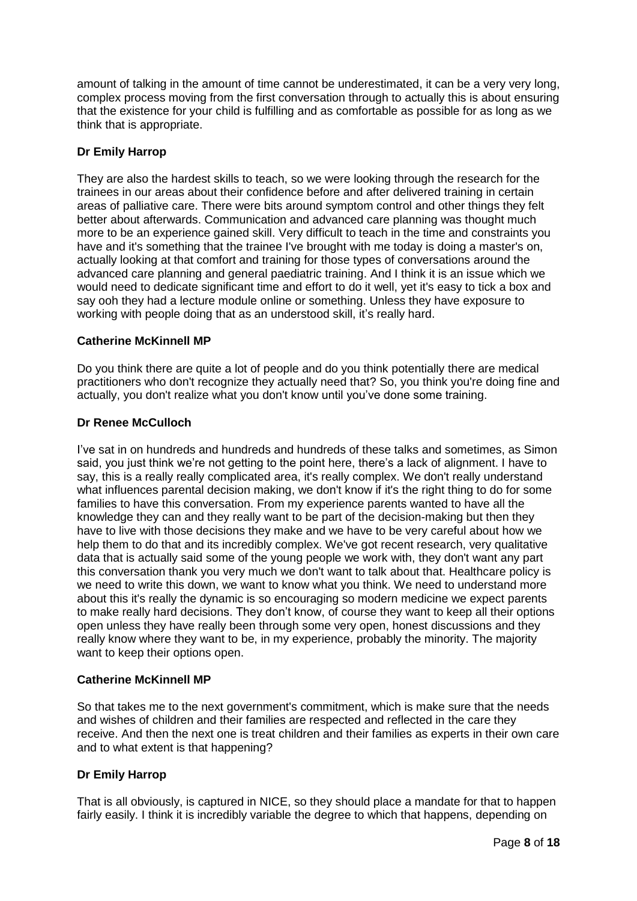amount of talking in the amount of time cannot be underestimated, it can be a very very long, complex process moving from the first conversation through to actually this is about ensuring that the existence for your child is fulfilling and as comfortable as possible for as long as we think that is appropriate.

# **Dr Emily Harrop**

They are also the hardest skills to teach, so we were looking through the research for the trainees in our areas about their confidence before and after delivered training in certain areas of palliative care. There were bits around symptom control and other things they felt better about afterwards. Communication and advanced care planning was thought much more to be an experience gained skill. Very difficult to teach in the time and constraints you have and it's something that the trainee I've brought with me today is doing a master's on, actually looking at that comfort and training for those types of conversations around the advanced care planning and general paediatric training. And I think it is an issue which we would need to dedicate significant time and effort to do it well, yet it's easy to tick a box and say ooh they had a lecture module online or something. Unless they have exposure to working with people doing that as an understood skill, it's really hard.

# **Catherine McKinnell MP**

Do you think there are quite a lot of people and do you think potentially there are medical practitioners who don't recognize they actually need that? So, you think you're doing fine and actually, you don't realize what you don't know until you've done some training.

# **Dr Renee McCulloch**

I've sat in on hundreds and hundreds and hundreds of these talks and sometimes, as Simon said, you just think we're not getting to the point here, there's a lack of alignment. I have to say, this is a really really complicated area, it's really complex. We don't really understand what influences parental decision making, we don't know if it's the right thing to do for some families to have this conversation. From my experience parents wanted to have all the knowledge they can and they really want to be part of the decision-making but then they have to live with those decisions they make and we have to be very careful about how we help them to do that and its incredibly complex. We've got recent research, very qualitative data that is actually said some of the young people we work with, they don't want any part this conversation thank you very much we don't want to talk about that. Healthcare policy is we need to write this down, we want to know what you think. We need to understand more about this it's really the dynamic is so encouraging so modern medicine we expect parents to make really hard decisions. They don't know, of course they want to keep all their options open unless they have really been through some very open, honest discussions and they really know where they want to be, in my experience, probably the minority. The majority want to keep their options open.

# **Catherine McKinnell MP**

So that takes me to the next government's commitment, which is make sure that the needs and wishes of children and their families are respected and reflected in the care they receive. And then the next one is treat children and their families as experts in their own care and to what extent is that happening?

# **Dr Emily Harrop**

That is all obviously, is captured in NICE, so they should place a mandate for that to happen fairly easily. I think it is incredibly variable the degree to which that happens, depending on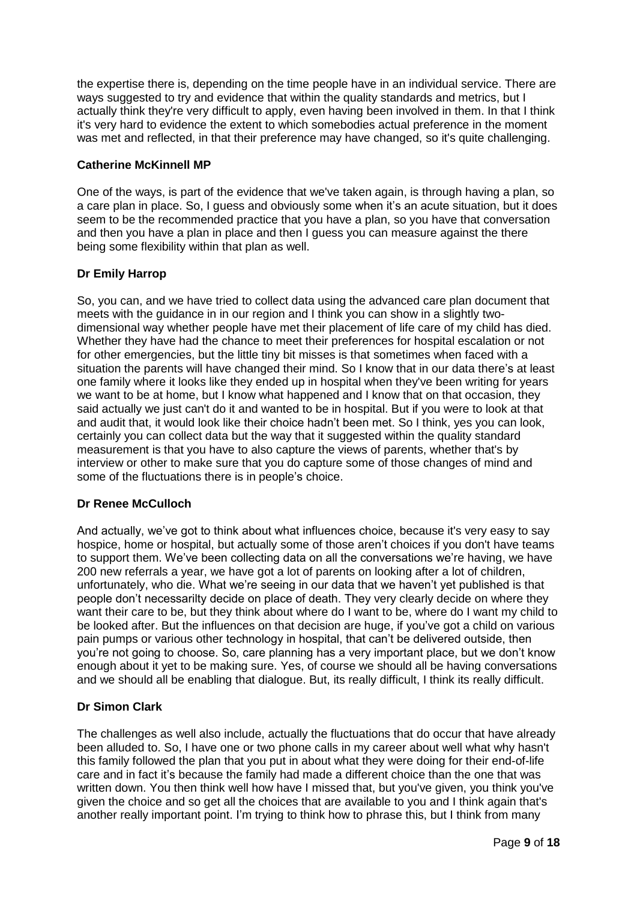the expertise there is, depending on the time people have in an individual service. There are ways suggested to try and evidence that within the quality standards and metrics, but I actually think they're very difficult to apply, even having been involved in them. In that I think it's very hard to evidence the extent to which somebodies actual preference in the moment was met and reflected, in that their preference may have changed, so it's quite challenging.

### **Catherine McKinnell MP**

One of the ways, is part of the evidence that we've taken again, is through having a plan, so a care plan in place. So, I guess and obviously some when it's an acute situation, but it does seem to be the recommended practice that you have a plan, so you have that conversation and then you have a plan in place and then I guess you can measure against the there being some flexibility within that plan as well.

# **Dr Emily Harrop**

So, you can, and we have tried to collect data using the advanced care plan document that meets with the guidance in in our region and I think you can show in a slightly twodimensional way whether people have met their placement of life care of my child has died. Whether they have had the chance to meet their preferences for hospital escalation or not for other emergencies, but the little tiny bit misses is that sometimes when faced with a situation the parents will have changed their mind. So I know that in our data there's at least one family where it looks like they ended up in hospital when they've been writing for years we want to be at home, but I know what happened and I know that on that occasion, they said actually we just can't do it and wanted to be in hospital. But if you were to look at that and audit that, it would look like their choice hadn't been met. So I think, yes you can look, certainly you can collect data but the way that it suggested within the quality standard measurement is that you have to also capture the views of parents, whether that's by interview or other to make sure that you do capture some of those changes of mind and some of the fluctuations there is in people's choice.

# **Dr Renee McCulloch**

And actually, we've got to think about what influences choice, because it's very easy to say hospice, home or hospital, but actually some of those aren't choices if you don't have teams to support them. We've been collecting data on all the conversations we're having, we have 200 new referrals a year, we have got a lot of parents on looking after a lot of children, unfortunately, who die. What we're seeing in our data that we haven't yet published is that people don't necessarilty decide on place of death. They very clearly decide on where they want their care to be, but they think about where do I want to be, where do I want my child to be looked after. But the influences on that decision are huge, if you've got a child on various pain pumps or various other technology in hospital, that can't be delivered outside, then you're not going to choose. So, care planning has a very important place, but we don't know enough about it yet to be making sure. Yes, of course we should all be having conversations and we should all be enabling that dialogue. But, its really difficult, I think its really difficult.

# **Dr Simon Clark**

The challenges as well also include, actually the fluctuations that do occur that have already been alluded to. So, I have one or two phone calls in my career about well what why hasn't this family followed the plan that you put in about what they were doing for their end-of-life care and in fact it's because the family had made a different choice than the one that was written down. You then think well how have I missed that, but you've given, you think you've given the choice and so get all the choices that are available to you and I think again that's another really important point. I'm trying to think how to phrase this, but I think from many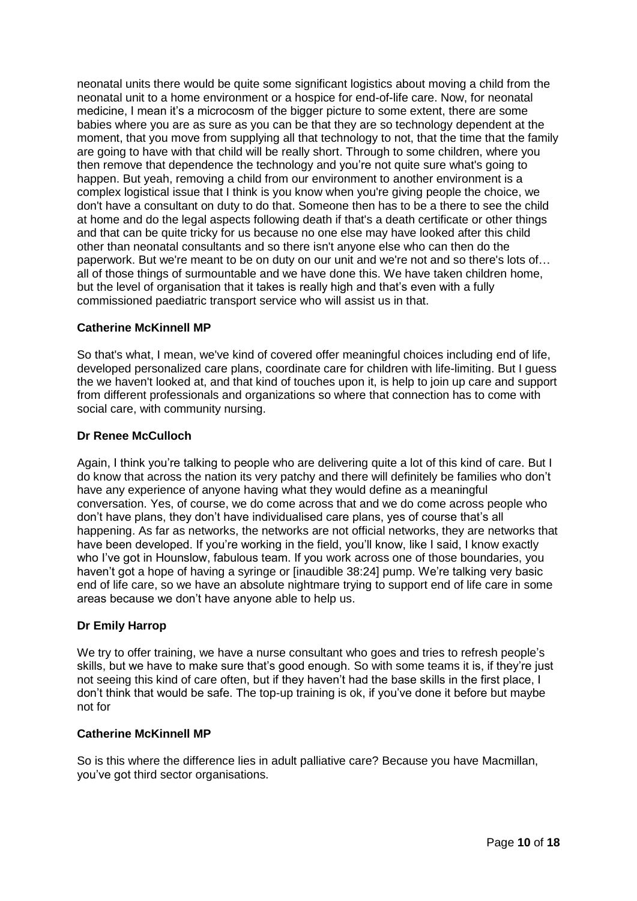neonatal units there would be quite some significant logistics about moving a child from the neonatal unit to a home environment or a hospice for end-of-life care. Now, for neonatal medicine, I mean it's a microcosm of the bigger picture to some extent, there are some babies where you are as sure as you can be that they are so technology dependent at the moment, that you move from supplying all that technology to not, that the time that the family are going to have with that child will be really short. Through to some children, where you then remove that dependence the technology and you're not quite sure what's going to happen. But yeah, removing a child from our environment to another environment is a complex logistical issue that I think is you know when you're giving people the choice, we don't have a consultant on duty to do that. Someone then has to be a there to see the child at home and do the legal aspects following death if that's a death certificate or other things and that can be quite tricky for us because no one else may have looked after this child other than neonatal consultants and so there isn't anyone else who can then do the paperwork. But we're meant to be on duty on our unit and we're not and so there's lots of… all of those things of surmountable and we have done this. We have taken children home, but the level of organisation that it takes is really high and that's even with a fully commissioned paediatric transport service who will assist us in that.

# **Catherine McKinnell MP**

So that's what, I mean, we've kind of covered offer meaningful choices including end of life, developed personalized care plans, coordinate care for children with life-limiting. But I guess the we haven't looked at, and that kind of touches upon it, is help to join up care and support from different professionals and organizations so where that connection has to come with social care, with community nursing.

### **Dr Renee McCulloch**

Again, I think you're talking to people who are delivering quite a lot of this kind of care. But I do know that across the nation its very patchy and there will definitely be families who don't have any experience of anyone having what they would define as a meaningful conversation. Yes, of course, we do come across that and we do come across people who don't have plans, they don't have individualised care plans, yes of course that's all happening. As far as networks, the networks are not official networks, they are networks that have been developed. If you're working in the field, you'll know, like I said, I know exactly who I've got in Hounslow, fabulous team. If you work across one of those boundaries, you haven't got a hope of having a syringe or [inaudible 38:24] pump. We're talking very basic end of life care, so we have an absolute nightmare trying to support end of life care in some areas because we don't have anyone able to help us.

# **Dr Emily Harrop**

We try to offer training, we have a nurse consultant who goes and tries to refresh people's skills, but we have to make sure that's good enough. So with some teams it is, if they're just not seeing this kind of care often, but if they haven't had the base skills in the first place, I don't think that would be safe. The top-up training is ok, if you've done it before but maybe not for

#### **Catherine McKinnell MP**

So is this where the difference lies in adult palliative care? Because you have Macmillan, you've got third sector organisations.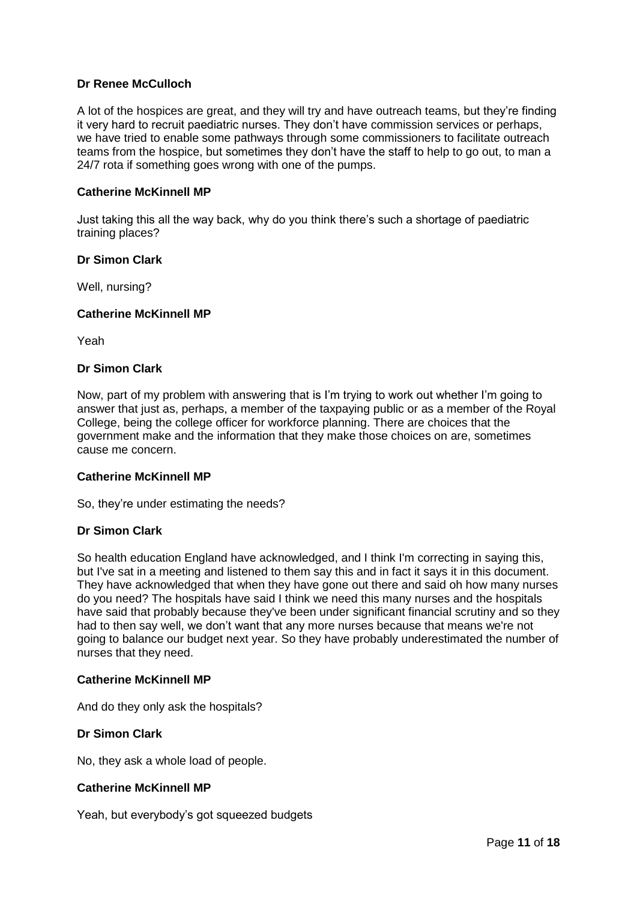### **Dr Renee McCulloch**

A lot of the hospices are great, and they will try and have outreach teams, but they're finding it very hard to recruit paediatric nurses. They don't have commission services or perhaps, we have tried to enable some pathways through some commissioners to facilitate outreach teams from the hospice, but sometimes they don't have the staff to help to go out, to man a 24/7 rota if something goes wrong with one of the pumps.

### **Catherine McKinnell MP**

Just taking this all the way back, why do you think there's such a shortage of paediatric training places?

### **Dr Simon Clark**

Well, nursing?

#### **Catherine McKinnell MP**

Yeah

### **Dr Simon Clark**

Now, part of my problem with answering that is I'm trying to work out whether I'm going to answer that just as, perhaps, a member of the taxpaying public or as a member of the Royal College, being the college officer for workforce planning. There are choices that the government make and the information that they make those choices on are, sometimes cause me concern.

#### **Catherine McKinnell MP**

So, they're under estimating the needs?

#### **Dr Simon Clark**

So health education England have acknowledged, and I think I'm correcting in saying this, but I've sat in a meeting and listened to them say this and in fact it says it in this document. They have acknowledged that when they have gone out there and said oh how many nurses do you need? The hospitals have said I think we need this many nurses and the hospitals have said that probably because they've been under significant financial scrutiny and so they had to then say well, we don't want that any more nurses because that means we're not going to balance our budget next year. So they have probably underestimated the number of nurses that they need.

#### **Catherine McKinnell MP**

And do they only ask the hospitals?

#### **Dr Simon Clark**

No, they ask a whole load of people.

#### **Catherine McKinnell MP**

Yeah, but everybody's got squeezed budgets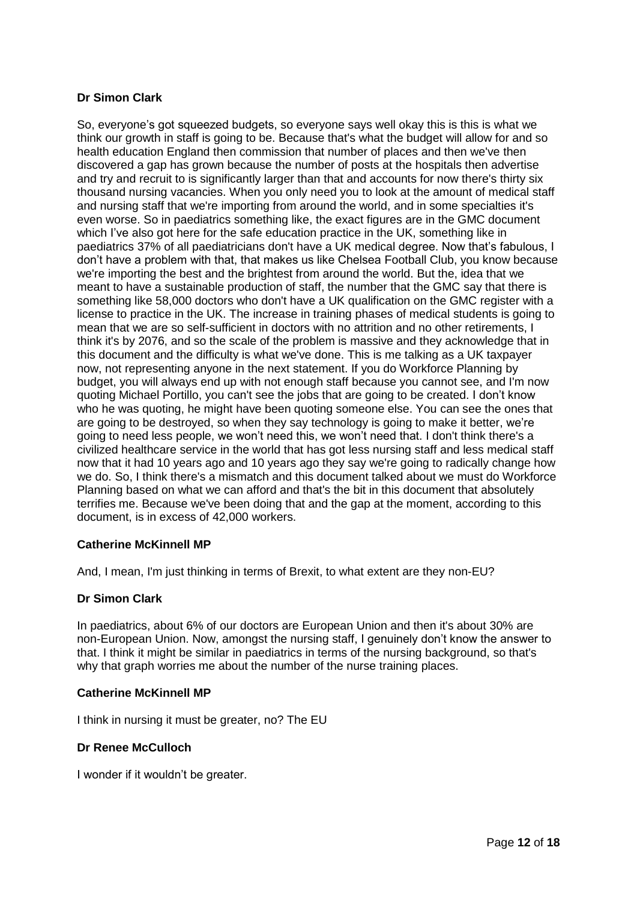# **Dr Simon Clark**

So, everyone's got squeezed budgets, so everyone says well okay this is this is what we think our growth in staff is going to be. Because that's what the budget will allow for and so health education England then commission that number of places and then we've then discovered a gap has grown because the number of posts at the hospitals then advertise and try and recruit to is significantly larger than that and accounts for now there's thirty six thousand nursing vacancies. When you only need you to look at the amount of medical staff and nursing staff that we're importing from around the world, and in some specialties it's even worse. So in paediatrics something like, the exact figures are in the GMC document which I've also got here for the safe education practice in the UK, something like in paediatrics 37% of all paediatricians don't have a UK medical degree. Now that's fabulous, I don't have a problem with that, that makes us like Chelsea Football Club, you know because we're importing the best and the brightest from around the world. But the, idea that we meant to have a sustainable production of staff, the number that the GMC say that there is something like 58,000 doctors who don't have a UK qualification on the GMC register with a license to practice in the UK. The increase in training phases of medical students is going to mean that we are so self-sufficient in doctors with no attrition and no other retirements, I think it's by 2076, and so the scale of the problem is massive and they acknowledge that in this document and the difficulty is what we've done. This is me talking as a UK taxpayer now, not representing anyone in the next statement. If you do Workforce Planning by budget, you will always end up with not enough staff because you cannot see, and I'm now quoting Michael Portillo, you can't see the jobs that are going to be created. I don't know who he was quoting, he might have been quoting someone else. You can see the ones that are going to be destroyed, so when they say technology is going to make it better, we're going to need less people, we won't need this, we won't need that. I don't think there's a civilized healthcare service in the world that has got less nursing staff and less medical staff now that it had 10 years ago and 10 years ago they say we're going to radically change how we do. So, I think there's a mismatch and this document talked about we must do Workforce Planning based on what we can afford and that's the bit in this document that absolutely terrifies me. Because we've been doing that and the gap at the moment, according to this document, is in excess of 42,000 workers.

# **Catherine McKinnell MP**

And, I mean, I'm just thinking in terms of Brexit, to what extent are they non-EU?

# **Dr Simon Clark**

In paediatrics, about 6% of our doctors are European Union and then it's about 30% are non-European Union. Now, amongst the nursing staff, I genuinely don't know the answer to that. I think it might be similar in paediatrics in terms of the nursing background, so that's why that graph worries me about the number of the nurse training places.

### **Catherine McKinnell MP**

I think in nursing it must be greater, no? The EU

# **Dr Renee McCulloch**

I wonder if it wouldn't be greater.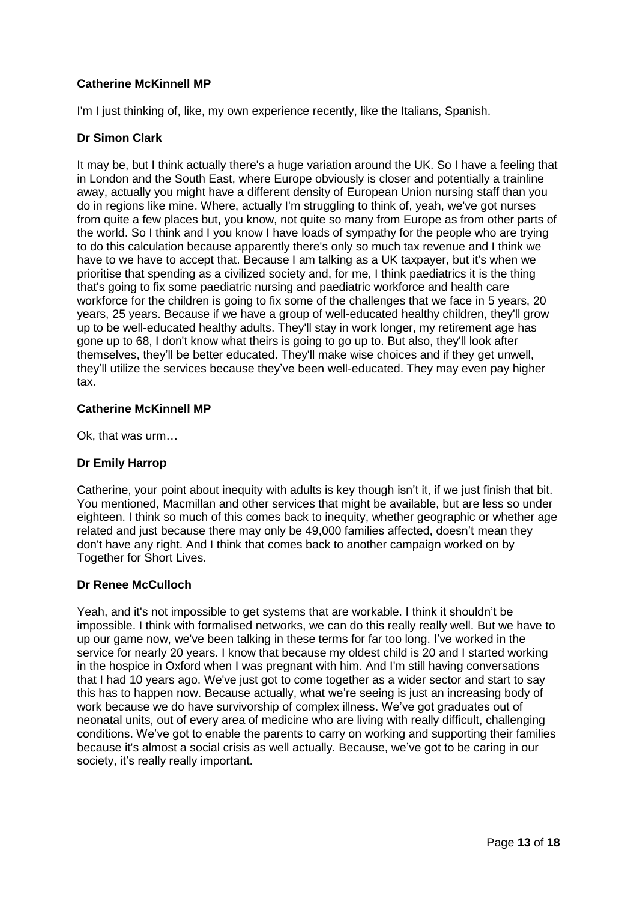# **Catherine McKinnell MP**

I'm I just thinking of, like, my own experience recently, like the Italians, Spanish.

# **Dr Simon Clark**

It may be, but I think actually there's a huge variation around the UK. So I have a feeling that in London and the South East, where Europe obviously is closer and potentially a trainline away, actually you might have a different density of European Union nursing staff than you do in regions like mine. Where, actually I'm struggling to think of, yeah, we've got nurses from quite a few places but, you know, not quite so many from Europe as from other parts of the world. So I think and I you know I have loads of sympathy for the people who are trying to do this calculation because apparently there's only so much tax revenue and I think we have to we have to accept that. Because I am talking as a UK taxpayer, but it's when we prioritise that spending as a civilized society and, for me, I think paediatrics it is the thing that's going to fix some paediatric nursing and paediatric workforce and health care workforce for the children is going to fix some of the challenges that we face in 5 years, 20 years, 25 years. Because if we have a group of well-educated healthy children, they'll grow up to be well-educated healthy adults. They'll stay in work longer, my retirement age has gone up to 68, I don't know what theirs is going to go up to. But also, they'll look after themselves, they'll be better educated. They'll make wise choices and if they get unwell, they'll utilize the services because they've been well-educated. They may even pay higher tax.

# **Catherine McKinnell MP**

Ok, that was urm…

# **Dr Emily Harrop**

Catherine, your point about inequity with adults is key though isn't it, if we just finish that bit. You mentioned, Macmillan and other services that might be available, but are less so under eighteen. I think so much of this comes back to inequity, whether geographic or whether age related and just because there may only be 49,000 families affected, doesn't mean they don't have any right. And I think that comes back to another campaign worked on by Together for Short Lives.

# **Dr Renee McCulloch**

Yeah, and it's not impossible to get systems that are workable. I think it shouldn't be impossible. I think with formalised networks, we can do this really really well. But we have to up our game now, we've been talking in these terms for far too long. I've worked in the service for nearly 20 years. I know that because my oldest child is 20 and I started working in the hospice in Oxford when I was pregnant with him. And I'm still having conversations that I had 10 years ago. We've just got to come together as a wider sector and start to say this has to happen now. Because actually, what we're seeing is just an increasing body of work because we do have survivorship of complex illness. We've got graduates out of neonatal units, out of every area of medicine who are living with really difficult, challenging conditions. We've got to enable the parents to carry on working and supporting their families because it's almost a social crisis as well actually. Because, we've got to be caring in our society, it's really really important.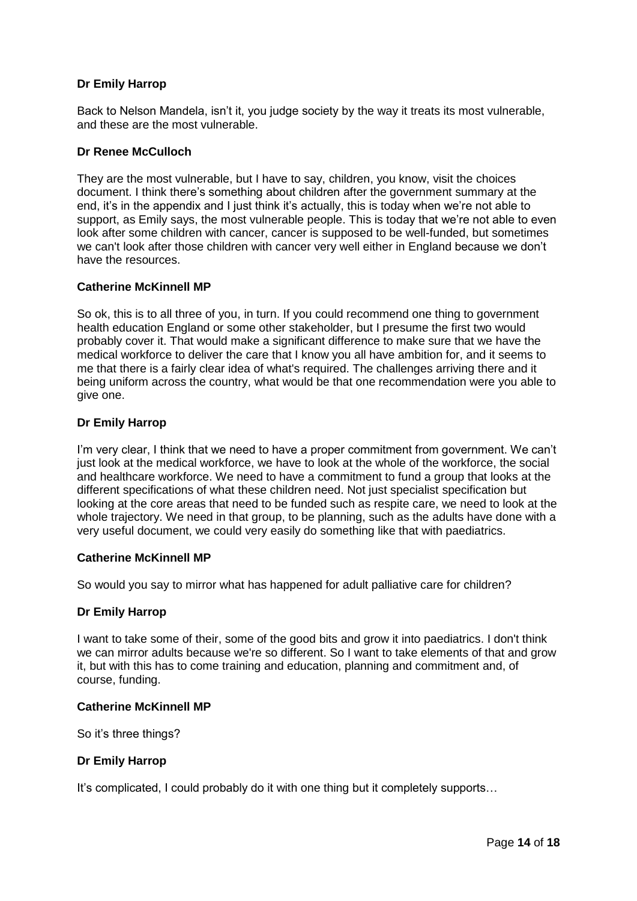# **Dr Emily Harrop**

Back to Nelson Mandela, isn't it, you judge society by the way it treats its most vulnerable, and these are the most vulnerable.

# **Dr Renee McCulloch**

They are the most vulnerable, but I have to say, children, you know, visit the choices document. I think there's something about children after the government summary at the end, it's in the appendix and I just think it's actually, this is today when we're not able to support, as Emily says, the most vulnerable people. This is today that we're not able to even look after some children with cancer, cancer is supposed to be well-funded, but sometimes we can't look after those children with cancer very well either in England because we don't have the resources.

### **Catherine McKinnell MP**

So ok, this is to all three of you, in turn. If you could recommend one thing to government health education England or some other stakeholder, but I presume the first two would probably cover it. That would make a significant difference to make sure that we have the medical workforce to deliver the care that I know you all have ambition for, and it seems to me that there is a fairly clear idea of what's required. The challenges arriving there and it being uniform across the country, what would be that one recommendation were you able to give one.

# **Dr Emily Harrop**

I'm very clear, I think that we need to have a proper commitment from government. We can't just look at the medical workforce, we have to look at the whole of the workforce, the social and healthcare workforce. We need to have a commitment to fund a group that looks at the different specifications of what these children need. Not just specialist specification but looking at the core areas that need to be funded such as respite care, we need to look at the whole trajectory. We need in that group, to be planning, such as the adults have done with a very useful document, we could very easily do something like that with paediatrics.

# **Catherine McKinnell MP**

So would you say to mirror what has happened for adult palliative care for children?

#### **Dr Emily Harrop**

I want to take some of their, some of the good bits and grow it into paediatrics. I don't think we can mirror adults because we're so different. So I want to take elements of that and grow it, but with this has to come training and education, planning and commitment and, of course, funding.

#### **Catherine McKinnell MP**

So it's three things?

# **Dr Emily Harrop**

It's complicated, I could probably do it with one thing but it completely supports…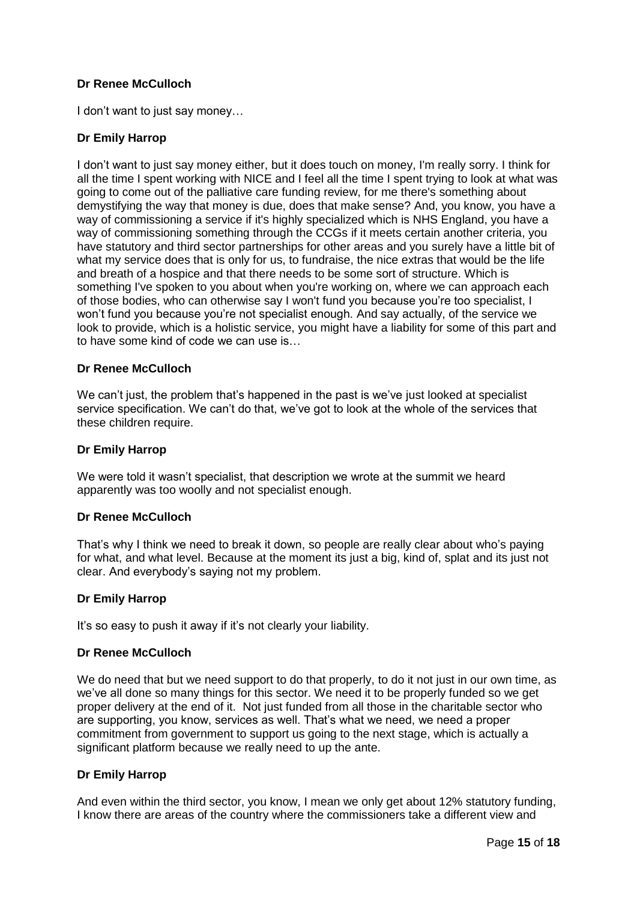# **Dr Renee McCulloch**

I don't want to just say money…

# **Dr Emily Harrop**

I don't want to just say money either, but it does touch on money, I'm really sorry. I think for all the time I spent working with NICE and I feel all the time I spent trying to look at what was going to come out of the palliative care funding review, for me there's something about demystifying the way that money is due, does that make sense? And, you know, you have a way of commissioning a service if it's highly specialized which is NHS England, you have a way of commissioning something through the CCGs if it meets certain another criteria, you have statutory and third sector partnerships for other areas and you surely have a little bit of what my service does that is only for us, to fundraise, the nice extras that would be the life and breath of a hospice and that there needs to be some sort of structure. Which is something I've spoken to you about when you're working on, where we can approach each of those bodies, who can otherwise say I won't fund you because you're too specialist, I won't fund you because you're not specialist enough. And say actually, of the service we look to provide, which is a holistic service, you might have a liability for some of this part and to have some kind of code we can use is…

### **Dr Renee McCulloch**

We can't just, the problem that's happened in the past is we've just looked at specialist service specification. We can't do that, we've got to look at the whole of the services that these children require.

### **Dr Emily Harrop**

We were told it wasn't specialist, that description we wrote at the summit we heard apparently was too woolly and not specialist enough.

#### **Dr Renee McCulloch**

That's why I think we need to break it down, so people are really clear about who's paying for what, and what level. Because at the moment its just a big, kind of, splat and its just not clear. And everybody's saying not my problem.

# **Dr Emily Harrop**

It's so easy to push it away if it's not clearly your liability.

#### **Dr Renee McCulloch**

We do need that but we need support to do that properly, to do it not just in our own time, as we've all done so many things for this sector. We need it to be properly funded so we get proper delivery at the end of it. Not just funded from all those in the charitable sector who are supporting, you know, services as well. That's what we need, we need a proper commitment from government to support us going to the next stage, which is actually a significant platform because we really need to up the ante.

#### **Dr Emily Harrop**

And even within the third sector, you know, I mean we only get about 12% statutory funding, I know there are areas of the country where the commissioners take a different view and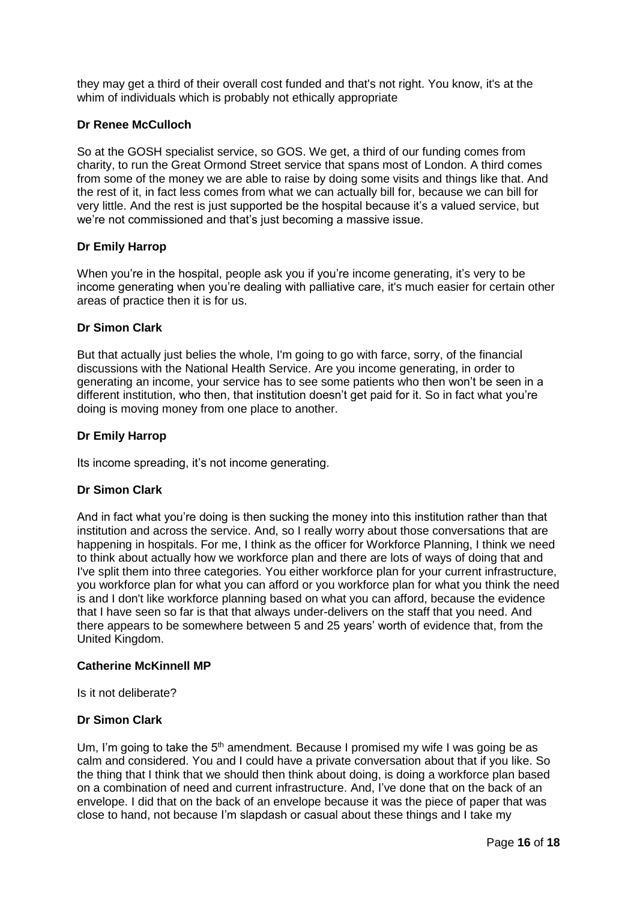they may get a third of their overall cost funded and that's not right. You know, it's at the whim of individuals which is probably not ethically appropriate

### **Dr Renee McCulloch**

So at the GOSH specialist service, so GOS. We get, a third of our funding comes from charity, to run the Great Ormond Street service that spans most of London. A third comes from some of the money we are able to raise by doing some visits and things like that. And the rest of it, in fact less comes from what we can actually bill for, because we can bill for very little. And the rest is just supported be the hospital because it's a valued service, but we're not commissioned and that's just becoming a massive issue.

# **Dr Emily Harrop**

When you're in the hospital, people ask you if you're income generating, it's very to be income generating when you're dealing with palliative care, it's much easier for certain other areas of practice then it is for us.

### **Dr Simon Clark**

But that actually just belies the whole, I'm going to go with farce, sorry, of the financial discussions with the National Health Service. Are you income generating, in order to generating an income, your service has to see some patients who then won't be seen in a different institution, who then, that institution doesn't get paid for it. So in fact what you're doing is moving money from one place to another.

### **Dr Emily Harrop**

Its income spreading, it's not income generating.

# **Dr Simon Clark**

And in fact what you're doing is then sucking the money into this institution rather than that institution and across the service. And, so I really worry about those conversations that are happening in hospitals. For me, I think as the officer for Workforce Planning, I think we need to think about actually how we workforce plan and there are lots of ways of doing that and I've split them into three categories. You either workforce plan for your current infrastructure, you workforce plan for what you can afford or you workforce plan for what you think the need is and I don't like workforce planning based on what you can afford, because the evidence that I have seen so far is that that always under-delivers on the staff that you need. And there appears to be somewhere between 5 and 25 years' worth of evidence that, from the United Kingdom.

#### **Catherine McKinnell MP**

Is it not deliberate?

# **Dr Simon Clark**

Um, I'm going to take the  $5<sup>th</sup>$  amendment. Because I promised my wife I was going be as calm and considered. You and I could have a private conversation about that if you like. So the thing that I think that we should then think about doing, is doing a workforce plan based on a combination of need and current infrastructure. And, I've done that on the back of an envelope. I did that on the back of an envelope because it was the piece of paper that was close to hand, not because I'm slapdash or casual about these things and I take my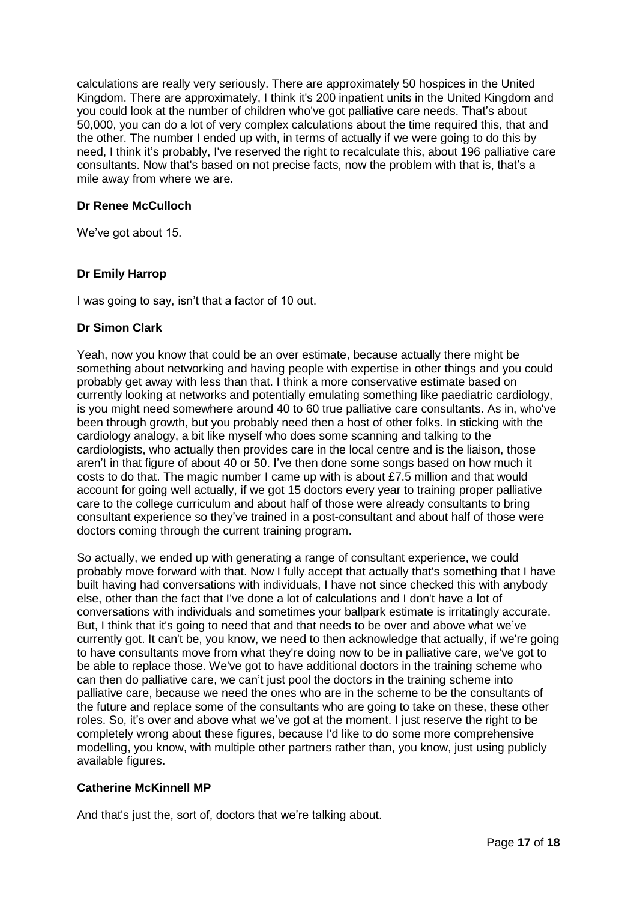calculations are really very seriously. There are approximately 50 hospices in the United Kingdom. There are approximately, I think it's 200 inpatient units in the United Kingdom and you could look at the number of children who've got palliative care needs. That's about 50,000, you can do a lot of very complex calculations about the time required this, that and the other. The number I ended up with, in terms of actually if we were going to do this by need, I think it's probably, I've reserved the right to recalculate this, about 196 palliative care consultants. Now that's based on not precise facts, now the problem with that is, that's a mile away from where we are.

# **Dr Renee McCulloch**

We've got about 15.

# **Dr Emily Harrop**

I was going to say, isn't that a factor of 10 out.

### **Dr Simon Clark**

Yeah, now you know that could be an over estimate, because actually there might be something about networking and having people with expertise in other things and you could probably get away with less than that. I think a more conservative estimate based on currently looking at networks and potentially emulating something like paediatric cardiology, is you might need somewhere around 40 to 60 true palliative care consultants. As in, who've been through growth, but you probably need then a host of other folks. In sticking with the cardiology analogy, a bit like myself who does some scanning and talking to the cardiologists, who actually then provides care in the local centre and is the liaison, those aren't in that figure of about 40 or 50. I've then done some songs based on how much it costs to do that. The magic number I came up with is about £7.5 million and that would account for going well actually, if we got 15 doctors every year to training proper palliative care to the college curriculum and about half of those were already consultants to bring consultant experience so they've trained in a post-consultant and about half of those were doctors coming through the current training program.

So actually, we ended up with generating a range of consultant experience, we could probably move forward with that. Now I fully accept that actually that's something that I have built having had conversations with individuals, I have not since checked this with anybody else, other than the fact that I've done a lot of calculations and I don't have a lot of conversations with individuals and sometimes your ballpark estimate is irritatingly accurate. But, I think that it's going to need that and that needs to be over and above what we've currently got. It can't be, you know, we need to then acknowledge that actually, if we're going to have consultants move from what they're doing now to be in palliative care, we've got to be able to replace those. We've got to have additional doctors in the training scheme who can then do palliative care, we can't just pool the doctors in the training scheme into palliative care, because we need the ones who are in the scheme to be the consultants of the future and replace some of the consultants who are going to take on these, these other roles. So, it's over and above what we've got at the moment. I just reserve the right to be completely wrong about these figures, because I'd like to do some more comprehensive modelling, you know, with multiple other partners rather than, you know, just using publicly available figures.

# **Catherine McKinnell MP**

And that's just the, sort of, doctors that we're talking about.